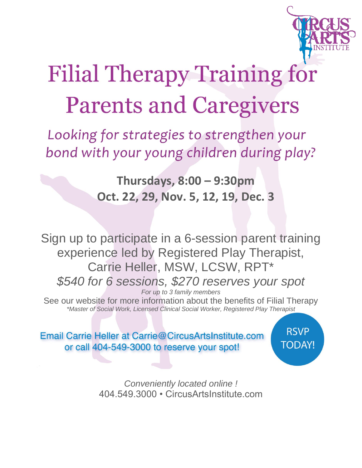

## **Filial Therapy Training for Parents and Caregivers**

Looking for strategies to strengthen your bond with your young children during play?

> **Thursdays, 8:00 – 9:30pm Oct. 22, 29, Nov. 5, 12, 19, Dec. 3**

Sign up to participate in a 6-session parent training experience led by Registered Play Therapist, Carrie Heller, MSW, LCSW, RPT\* *\$540 for 6 sessions, \$270 reserves your spot For up to 3 family members*

See our website for more information about the benefits of Filial Therapy *\*Master of Social Work, Licensed Clinical Social Worker, Registered Play Therapist*

Email Carrie Heller at Carrie@CircusArtsInstitute.com or call 404-549-3000 to reserve your spot!

**RSVP TODAY!** 

*Conveniently located online !*  404.549.3000 • CircusArtsInstitute.com